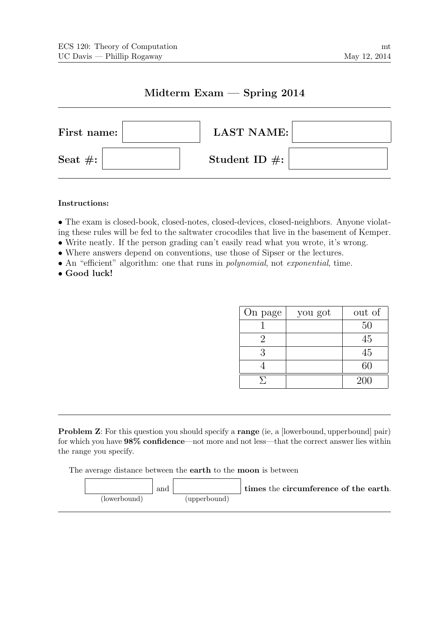# Midterm Exam — Spring 2014



## Instructions:

• The exam is closed-book, closed-notes, closed-devices, closed-neighbors. Anyone violating these rules will be fed to the saltwater crocodiles that live in the basement of Kemper.

- Write neatly. If the person grading can't easily read what you wrote, it's wrong.
- Where answers depend on conventions, use those of Sipser or the lectures.
- An "efficient" algorithm: one that runs in *polynomial*, not *exponential*, time.
- Good luck!

| On page | you got | out of |
|---------|---------|--------|
|         |         | 50     |
|         |         | 45     |
| 3       |         | 45     |
|         |         | 60     |
|         |         | 200    |

**Problem Z:** For this question you should specify a **range** (ie, a [lowerbound, upperbound] pair) for which you have 98% confidence—not more and not less—that the correct answer lies within the range you specify.

The average distance between the earth to the moon is between

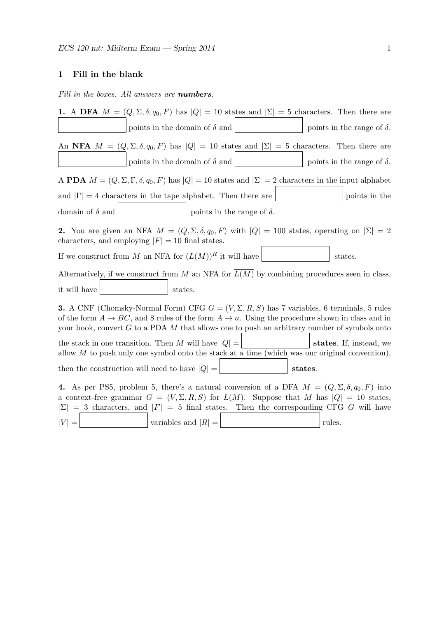# 1 Fill in the blank

Fill in the boxes. All answers are **numbers**.

| 1. A DFA $M = (Q, \Sigma, \delta, q_0, F)$ has $ Q  = 10$ states and $ \Sigma  = 5$ characters. Then there are                                                                                                                                                                                                       |
|----------------------------------------------------------------------------------------------------------------------------------------------------------------------------------------------------------------------------------------------------------------------------------------------------------------------|
| points in the domain of $\delta$ and<br>points in the range of $\delta$ .                                                                                                                                                                                                                                            |
| An NFA $M = (Q, \Sigma, \delta, q_0, F)$ has $ Q  = 10$ states and $ \Sigma  = 5$ characters. Then there are                                                                                                                                                                                                         |
| points in the domain of $\delta$ and<br>points in the range of $\delta$ .                                                                                                                                                                                                                                            |
| A PDA $M = (Q, \Sigma, \Gamma, \delta, q_0, F)$ has $ Q  = 10$ states and $ \Sigma  = 2$ characters in the input alphabet                                                                                                                                                                                            |
| and $ \Gamma =4$ characters in the tape alphabet. Then there are<br>points in the                                                                                                                                                                                                                                    |
| domain of $\delta$ and<br>points in the range of $\delta$ .                                                                                                                                                                                                                                                          |
| <b>2.</b> You are given an NFA $M = (Q, \Sigma, \delta, q_0, F)$ with $ Q  = 100$ states, operating on $ \Sigma  = 2$<br>characters, and employing $ F  = 10$ final states.                                                                                                                                          |
| If we construct from M an NFA for $(L(M))^R$ it will have<br>states.                                                                                                                                                                                                                                                 |
| Alternatively, if we construct from $M$ an NFA for $L(M)$ by combining procedures seen in class,                                                                                                                                                                                                                     |
| it will have<br>states.                                                                                                                                                                                                                                                                                              |
| <b>3.</b> A CNF (Chomsky-Normal Form) CFG $G = (V, \Sigma, R, S)$ has 7 variables, 6 terminals, 5 rules<br>of the form $A \to BC$ , and 8 rules of the form $A \to a$ . Using the procedure shown in class and in<br>your book, convert $G$ to a PDA $M$ that allows one to push an arbitrary number of symbols onto |
| the stack in one transition. Then M will have $ Q  =$<br>states. If, instead, we<br>allow $M$ to push only one symbol onto the stack at a time (which was our original convention),                                                                                                                                  |
| then the construction will need to have $ Q $ =<br>states.                                                                                                                                                                                                                                                           |
| 4. As per PS5, problem 5, there's a natural conversion of a DFA $M = (Q, \Sigma, \delta, q_0, F)$ into<br>a context-free grammar $G = (V, \Sigma, R, S)$ for $L(M)$ . Suppose that M has $ Q  = 10$ states,<br>$ \Sigma  = 3$ characters, and $ F  = 5$ final states. Then the corresponding CFG G will have         |
| $ V  =$<br>variables and $ R  =$<br>rules.                                                                                                                                                                                                                                                                           |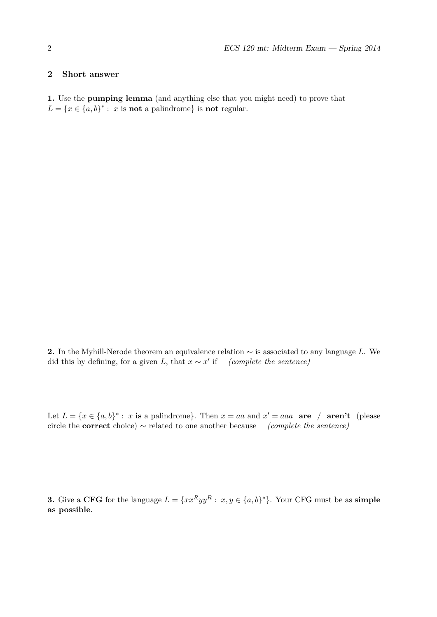### 2 Short answer

1. Use the pumping lemma (and anything else that you might need) to prove that  $L = \{x \in \{a, b\}^* : x \text{ is not a palindrome}\}\$ is not regular.

2. In the Myhill-Nerode theorem an equivalence relation  $\sim$  is associated to any language L. We did this by defining, for a given L, that  $x \sim x'$  if (complete the sentence)

Let  $L = \{x \in \{a, b\}^* : x \text{ is a palindrome}\}\.$  Then  $x = aa$  and  $x' = aaa$  are / aren't (please circle the **correct** choice)  $\sim$  related to one another because (complete the sentence)

**3.** Give a CFG for the language  $L = \{xx^Ryy^R : x, y \in \{a, b\}^*\}$ . Your CFG must be as simple as possible.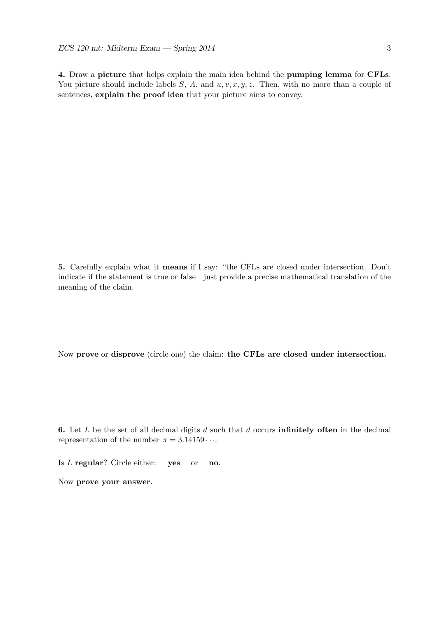4. Draw a picture that helps explain the main idea behind the pumping lemma for CFLs. You picture should include labels  $S$ ,  $A$ , and  $u$ ,  $v$ ,  $x$ ,  $y$ ,  $z$ . Then, with no more than a couple of sentences, explain the proof idea that your picture aims to convey.

5. Carefully explain what it means if I say: "the CFLs are closed under intersection. Don't indicate if the statement is true or false—just provide a precise mathematical translation of the meaning of the claim.

Now prove or disprove (circle one) the claim: the CFLs are closed under intersection.

6. Let  $L$  be the set of all decimal digits  $d$  such that  $d$  occurs **infinitely often** in the decimal representation of the number  $\pi = 3.14159 \cdots$ .

Is L regular? Circle either: yes or no.

Now prove your answer.